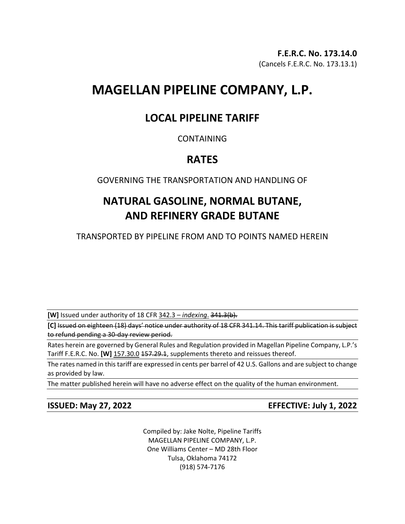# **MAGELLAN PIPELINE COMPANY, L.P.**

## **LOCAL PIPELINE TARIFF**

### CONTAINING

### **RATES**

GOVERNING THE TRANSPORTATION AND HANDLING OF

## **NATURAL GASOLINE, NORMAL BUTANE, AND REFINERY GRADE BUTANE**

TRANSPORTED BY PIPELINE FROM AND TO POINTS NAMED HEREIN

**[W]** Issued under authority of 18 CFR 342.3 – *indexing*. 341.3(b).

**[C]** Issued on eighteen (18) days' notice under authority of 18 CFR 341.14. This tariff publication is subject to refund pending a 30-day review period.

Rates herein are governed by General Rules and Regulation provided in Magellan Pipeline Company, L.P.'s Tariff F.E.R.C. No. **[W]** 157.30.0 157.29.1, supplements thereto and reissues thereof.

The rates named in this tariff are expressed in cents per barrel of 42 U.S. Gallons and are subject to change as provided by law.

The matter published herein will have no adverse effect on the quality of the human environment.

**ISSUED: May 27, 2022 EFFECTIVE: July 1, 2022**

Compiled by: Jake Nolte, Pipeline Tariffs MAGELLAN PIPELINE COMPANY, L.P. One Williams Center – MD 28th Floor Tulsa, Oklahoma 74172 (918) 574-7176